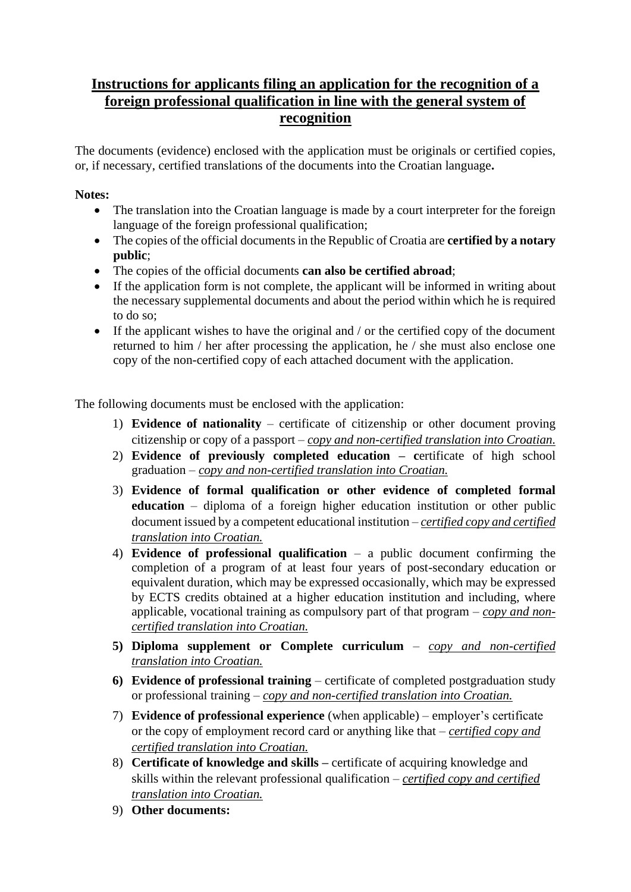## **Instructions for applicants filing an application for the recognition of a foreign professional qualification in line with the general system of recognition**

The documents (evidence) enclosed with the application must be originals or certified copies, or, if necessary, certified translations of the documents into the Croatian language**.**

## **Notes:**

- The translation into the Croatian language is made by a court interpreter for the foreign language of the foreign professional qualification;
- The copies of the official documents in the Republic of Croatia are **certified by a notary public**;
- The copies of the official documents **can also be certified abroad**;
- If the application form is not complete, the applicant will be informed in writing about the necessary supplemental documents and about the period within which he is required to do so;
- If the applicant wishes to have the original and / or the certified copy of the document returned to him / her after processing the application, he / she must also enclose one copy of the non-certified copy of each attached document with the application.

The following documents must be enclosed with the application:

- 1) **Evidence of nationality** certificate of citizenship or other document proving citizenship or copy of a passport *– copy and non-certified translation into Croatian.*
- 2) **Evidence of previously completed education – c**ertificate of high school graduation *– copy and non-certified translation into Croatian.*
- 3) **Evidence of formal qualification or other evidence of completed formal education** – diploma of a foreign higher education institution or other public document issued by a competent educational institution *– certified copy and certified translation into Croatian.*
- 4) **Evidence of professional qualification** a public document confirming the completion of a program of at least four years of post-secondary education or equivalent duration, which may be expressed occasionally, which may be expressed by ECTS credits obtained at a higher education institution and including, where applicable, vocational training as compulsory part of that program *– copy and noncertified translation into Croatian.*
- **5) Diploma supplement or Complete curriculum** *– copy and non-certified translation into Croatian.*
- **6) Evidence of professional training** certificate of completed postgraduation study or professional training *– copy and non-certified translation into Croatian.*
- 7) **Evidence of professional experience** (when applicable) employer's certificate or the copy of employment record card or anything like that *– certified copy and certified translation into Croatian.*
- 8) **Certificate of knowledge and skills –** certificate of acquiring knowledge and skills within the relevant professional qualification *– certified copy and certified translation into Croatian.*
- 9) **Other documents:**